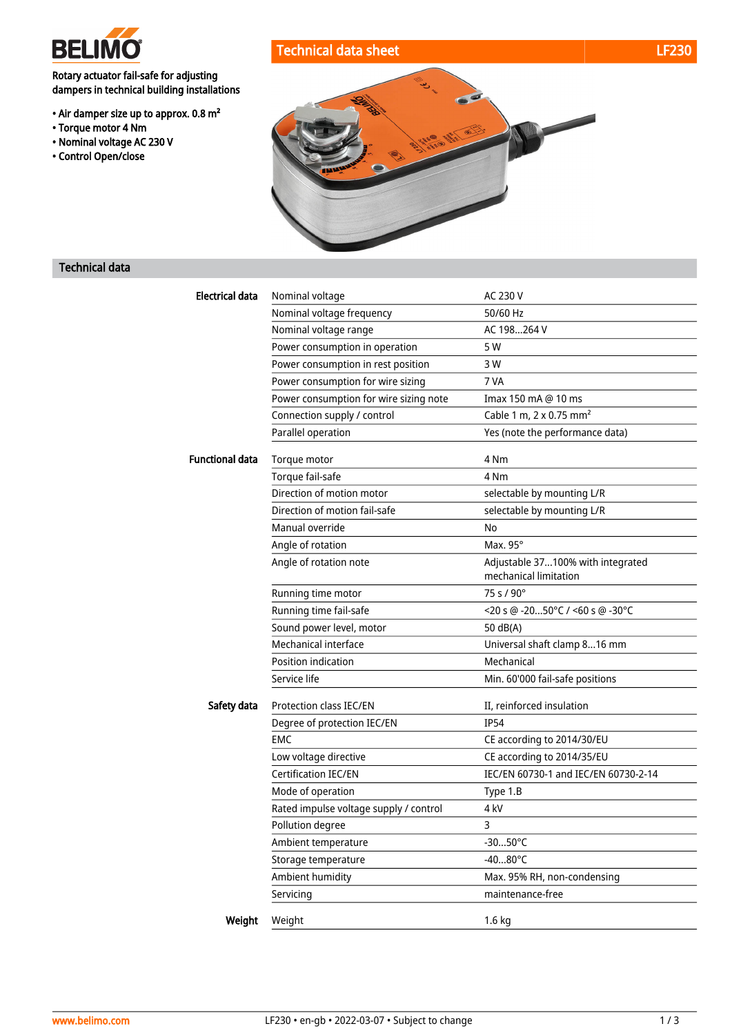

Rotary actuator fail-safe for adjusting dampers in technical building installations

- Air damper size up to approx. 0.8 m²
- Torque motor 4 Nm
- Nominal voltage AC 230 V
- Control Open/close





### Technical data

| <b>Electrical data</b> | Nominal voltage                                  | AC 230 V                             |
|------------------------|--------------------------------------------------|--------------------------------------|
|                        | Nominal voltage frequency                        | 50/60 Hz                             |
|                        | Nominal voltage range                            | AC 198264 V                          |
|                        | Power consumption in operation                   | 5 W                                  |
|                        | Power consumption in rest position               | 3 W                                  |
|                        | Power consumption for wire sizing                | 7 VA                                 |
|                        | Power consumption for wire sizing note           | Imax 150 mA @ 10 ms                  |
|                        | Connection supply / control                      | Cable 1 m, 2 x 0.75 mm <sup>2</sup>  |
|                        | Parallel operation                               | Yes (note the performance data)      |
| <b>Functional data</b> | Torque motor                                     | 4 Nm                                 |
|                        | Torque fail-safe                                 | 4 Nm                                 |
|                        | Direction of motion motor                        | selectable by mounting L/R           |
|                        | Direction of motion fail-safe                    | selectable by mounting L/R           |
|                        | Manual override                                  | No                                   |
|                        | Angle of rotation                                | Max. 95°                             |
|                        | Angle of rotation note                           | Adjustable 37100% with integrated    |
|                        |                                                  | mechanical limitation<br>75 s / 90°  |
|                        | Running time motor                               |                                      |
|                        | Running time fail-safe                           | $<$ 20 s @ -2050°C / <60 s @ -30°C   |
|                        | Sound power level, motor<br>Mechanical interface | 50 dB(A)                             |
|                        |                                                  | Universal shaft clamp 816 mm         |
|                        | Position indication                              | Mechanical                           |
|                        | Service life                                     | Min. 60'000 fail-safe positions      |
| Safety data            | Protection class IEC/EN                          | II, reinforced insulation            |
|                        | Degree of protection IEC/EN                      | <b>IP54</b>                          |
|                        | <b>EMC</b>                                       | CE according to 2014/30/EU           |
|                        | Low voltage directive                            | CE according to 2014/35/EU           |
|                        | <b>Certification IEC/EN</b>                      | IEC/EN 60730-1 and IEC/EN 60730-2-14 |
|                        | Mode of operation                                | Type 1.B                             |
|                        | Rated impulse voltage supply / control           | 4 kV                                 |
|                        | Pollution degree                                 | 3                                    |
|                        | Ambient temperature                              | $-3050^{\circ}$ C                    |
|                        | Storage temperature                              | $-4080^{\circ}C$                     |
|                        | Ambient humidity                                 | Max. 95% RH, non-condensing          |
|                        | Servicing                                        | maintenance-free                     |
| Weight                 | Weight                                           | 1.6 kg                               |
|                        |                                                  |                                      |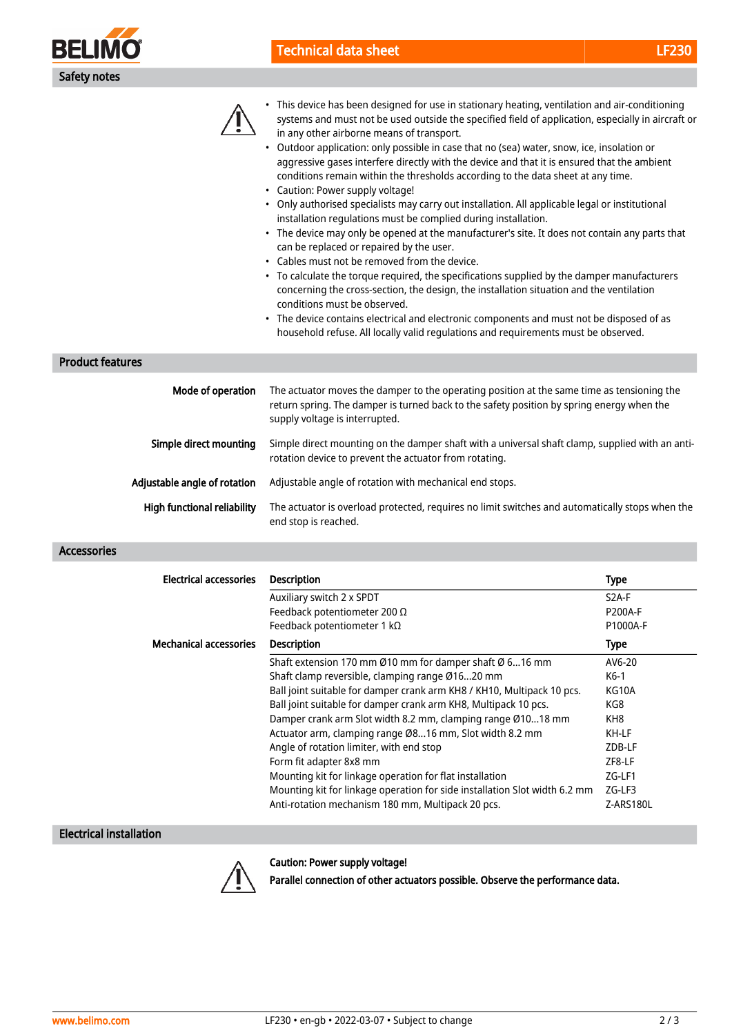

•



This device has been designed for use in stationary heating, ventilation and air-conditioning

| Simple direct mounting       | Simple direct mounting on the damper shaft with a universal shaft clamp, supplied with an anti-<br>rotation device to prevent the actuator from rotating. |
|------------------------------|-----------------------------------------------------------------------------------------------------------------------------------------------------------|
| Adiustable angle of rotation | Adjustable angle of rotation with mechanical end stops.                                                                                                   |

High functional reliability The actuator is overload protected, requires no limit switches and automatically stops when the end stop is reached.

#### Accessories

| Electrical accessories        | <b>Description</b>                                                         | <b>Type</b>        |
|-------------------------------|----------------------------------------------------------------------------|--------------------|
|                               | Auxiliary switch 2 x SPDT                                                  | S <sub>2</sub> A-F |
|                               | Feedback potentiometer 200 $\Omega$                                        | <b>P200A-F</b>     |
|                               | Feedback potentiometer 1 $k\Omega$                                         | P1000A-F           |
| <b>Mechanical accessories</b> | <b>Description</b>                                                         | <b>Type</b>        |
|                               | Shaft extension 170 mm Ø10 mm for damper shaft Ø 616 mm                    | AV6-20             |
|                               | Shaft clamp reversible, clamping range Ø1620 mm                            | K6-1               |
|                               | Ball joint suitable for damper crank arm KH8 / KH10, Multipack 10 pcs.     | KG10A              |
|                               | Ball joint suitable for damper crank arm KH8, Multipack 10 pcs.            | KG8                |
|                               | Damper crank arm Slot width 8.2 mm, clamping range Ø1018 mm                | KH8                |
|                               | Actuator arm, clamping range Ø816 mm, Slot width 8.2 mm                    | KH-LF              |
|                               | Angle of rotation limiter, with end stop                                   | ZDB-LF             |
|                               | Form fit adapter 8x8 mm                                                    | ZF8-LF             |
|                               | Mounting kit for linkage operation for flat installation                   | $ZG-LF1$           |
|                               | Mounting kit for linkage operation for side installation Slot width 6.2 mm | $ZG-LF3$           |
|                               | Anti-rotation mechanism 180 mm, Multipack 20 pcs.                          | Z-ARS180L          |

### Electrical installation



Caution: Power supply voltage!

Parallel connection of other actuators possible. Observe the performance data.